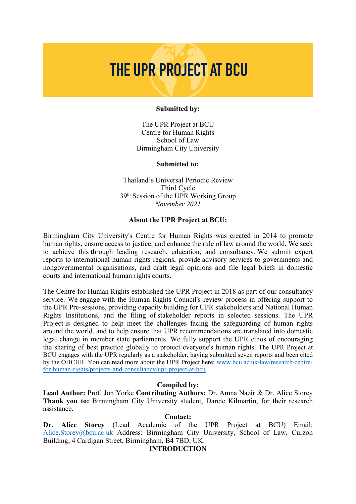# THE UPR PROJECT AT BCU

#### **Submitted by:**

The UPR Project at BCU Centre for Human Rights School of Law Birmingham City University

#### **Submitted to:**

Thailand'<sup>s</sup> Universal Periodic Review Third Cycle 39th Session of the UPR Working Group *November 2021*

#### **About the UPR Project at BCU:**

Birmingham City University's Centre for Human Rights was created in 2014 to promote human rights, ensure access to justice, and enhance the rule of law around the world. We seek to achieve this through leading research, education, and consultancy. We submit exper<sup>t</sup> reports to international human rights regions, provide advisory services to governments and nongovernmental organisations, and draft legal opinions and file legal briefs in domestic courts and international human rights courts.

The Centre for Human Rights established the UPR Project in 2018 as par<sup>t</sup> of our consultancy service. We engage with the Human Rights Council's review process in offering suppor<sup>t</sup> to the UPR Pre-sessions, providing capacity building for UPR stakeholders and National Human Rights Institutions, and the filing of stakeholder reports in selected sessions. The UPR Project is designed to help meet the challenges facing the safeguarding of human rights around the world, and to help ensure that UPR recommendations are translated into domestic legal change in member state parliaments. We fully suppor<sup>t</sup> the UPR ethos of encouraging the sharing of best practice globally to protect everyone's human rights. The UPR Project at BCU engages with the UPR regularly as <sup>a</sup> stakeholder, having submitted seven reports and been cited by the OHCHR. You can read more about the UPR Project here: [www.bcu.ac.uk/law/research/centre](http://www.bcu.ac.uk/law/research/centre-for-human-rights/projects-and-consultancy/upr-project-at-bcu)[for-human-rights/projects-and-consultancy/upr-project-at-bcu](http://www.bcu.ac.uk/law/research/centre-for-human-rights/projects-and-consultancy/upr-project-at-bcu)

#### **Compiled by:**

**Lead Author:** Prof. Jon Yorke **Contributing Authors:** Dr. Amna Nazir & Dr. Alice Storey **Thank you to:** Birmingham City University student, Darcie Kilmartin, for their research assistance.

#### **Contact:**

**Dr. Alice Storey** (Lead Academic of the UPR Project at BCU) Email: [Alice.Storey@bcu.ac.uk](mailto:Alice.Storey@bcu.ac.uk) Address: Birmingham City University, School of Law, Curzon Building, 4 Cardigan Street, Birmingham, B4 7BD, UK.

#### **INTRODUCTION**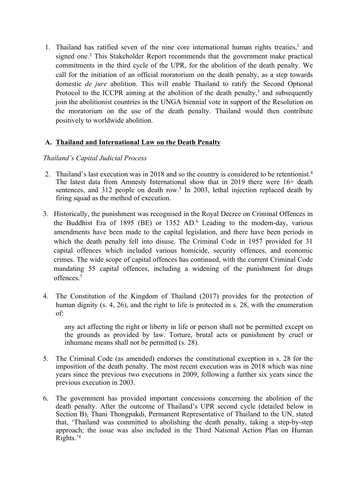1. Thailand has ratified seven of the nine core international human rights treaties, 1 and signed one. 2 This Stakeholder Report recommends that the governmen<sup>t</sup> make practical commitments in the third cycle of the UPR, for the abolition of the death penalty. We call for the initiation of an official moratorium on the death penalty, as <sup>a</sup> step towards domestic *de jure* abolition. This will enable Thailand to ratify the Second Optional Protocol to the ICCPR aiming at the abolition of the death penalty,<sup>3</sup> and subsequently join the abolitionist countries in the UNGA biennial vote in support of the Resolution on the moratorium on the use of the death penalty. Thailand would then contribute positively to worldwide abolition.

# **A. Thailand and International Law on the Death Penalty**

### *Thailand'<sup>s</sup> Capital Judicial Process*

- 2. Thailand'<sup>s</sup> last execution was in 2018 and so the country is considered to be retentionist. 4 The latest data from Amnesty International show that in 2019 there were 16+ death sentences, and 312 people on death row. 5 In 2003, lethal injection replaced death by firing squad as the method of execution.
- 3. Historically, the punishment was recognised in the Royal Decree on Criminal Offences in the Buddhist Era of 1895 (BE) or 1352 AD. 6 Leading to the modern-day, various amendments have been made to the capital legislation, and there have been periods in which the death penalty fell into disuse. The Criminal Code in 1957 provided for 31 capital offences which included various homicide, security offences, and economic crimes. The wide scope of capital offences has continued, with the current Criminal Code mandating 55 capital offences, including <sup>a</sup> widening of the punishment for drugs offences. 7
- 4. The Constitution of the Kingdom of Thailand (2017) provides for the protection of human dignity (s. 4, 26), and the right to life is protected in s. 28, with the enumeration of:

any act affecting the right or liberty in life or person shall not be permitted excep<sup>t</sup> on the grounds as provided by law. Torture, brutal acts or punishment by cruel or inhumane means shall not be permitted (s. 28).

- 5. The Criminal Code (as amended) endorses the constitutional exception in s. 28 for the imposition of the death penalty. The most recent execution was in 2018 which was nine years since the previous two executions in 2009, following <sup>a</sup> further six years since the previous execution in 2003.
- 6. The governmen<sup>t</sup> has provided important concessions concerning the abolition of the death penalty. After the outcome of Thailand'<sup>s</sup> UPR second cycle (detailed below in Section B), Thani Thongpakdi, Permanent Representative of Thailand to the UN, stated that, 'Thailand was committed to abolishing the death penalty, taking <sup>a</sup> step-by-step approach; the issue was also included in the Third National Action Plan on Human Rights.' 8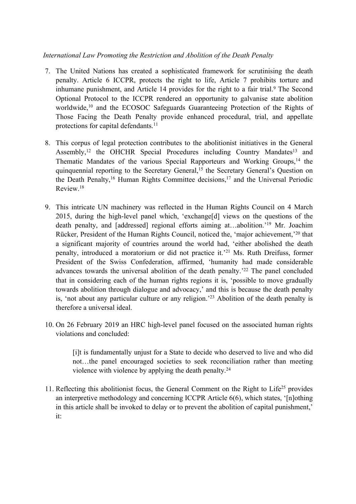# *International Law Promoting the Restriction and Abolition of the Death Penalty*

- 7. The United Nations has created <sup>a</sup> sophisticated framework for scrutinising the death penalty. Article 6 ICCPR, protects the right to life, Article 7 prohibits torture and inhumane punishment, and Article 14 provides for the right to a fair trial.<sup>9</sup> The Second Optional Protocol to the ICCPR rendered an opportunity to galvanise state abolition worldwide, 10 and the ECOSOC Safeguards Guaranteeing Protection of the Rights of Those Facing the Death Penalty provide enhanced procedural, trial, and appellate protections for capital defendants.<sup>11</sup>
- 8. This corpus of legal protection contributes to the abolitionist initiatives in the General Assembly,<sup>12</sup> the OHCHR Special Procedures including Country Mandates<sup>13</sup> and Thematic Mandates of the various Special Rapporteurs and Working Groups,<sup>14</sup> the quinquennial reporting to the Secretary General, 15 the Secretary General'<sup>s</sup> Question on the Death Penalty, <sup>16</sup> Human Rights Committee decisions, 17 and the Universal Periodic Review. 18
- 9. This intricate UN machinery was reflected in the Human Rights Council on 4 March 2015, during the high-level panel which, 'exchange[d] views on the questions of the death penalty, and [addressed] regional efforts aiming at…abolition.' <sup>19</sup> Mr. Joachim Rücker, President of the Human Rights Council, noticed the, 'major achievement,'<sup>20</sup> that <sup>a</sup> significant majority of countries around the world had, 'either abolished the death penalty, introduced <sup>a</sup> moratorium or did not practice it.' <sup>21</sup> Ms. Ruth Dreifuss, former President of the Swiss Confederation, affirmed, 'humanity had made considerable advances towards the universal abolition of the death penalty.<sup>22</sup> The panel concluded that in considering each of the human rights regions it is, 'possible to move gradually towards abolition through dialogue and advocacy,' and this is because the death penalty is, 'not about any particular culture or any religion.' <sup>23</sup> Abolition of the death penalty is therefore <sup>a</sup> universal ideal.
- 10. On 26 February 2019 an HRC high-level panel focused on the associated human rights violations and concluded:

[i]t is fundamentally unjust for <sup>a</sup> State to decide who deserved to live and who did not…the panel encouraged societies to seek reconciliation rather than meeting violence with violence by applying the death penalty.<sup>24</sup>

11. Reflecting this abolitionist focus, the General Comment on the Right to Life<sup>25</sup> provides an interpretive methodology and concerning ICCPR Article 6(6), which states, '[n]othing in this article shall be invoked to delay or to preven<sup>t</sup> the abolition of capital punishment,' it: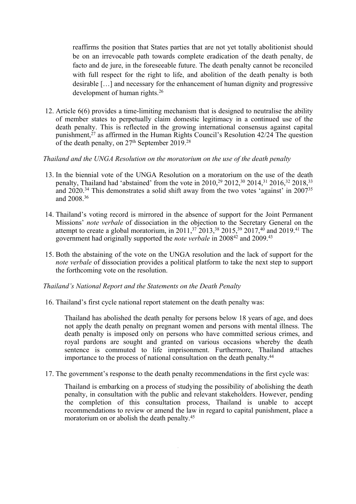reaffirms the position that States parties that are not ye<sup>t</sup> totally abolitionist should be on an irrevocable path towards complete eradication of the death penalty, de facto and de jure, in the foreseeable future. The death penalty cannot be reconciled with full respec<sup>t</sup> for the right to life, and abolition of the death penalty is both desirable […] and necessary for the enhancement of human dignity and progressive development of human rights. 26

12. Article 6(6) provides <sup>a</sup> time-limiting mechanism that is designed to neutralise the ability of member states to perpetually claim domestic legitimacy in <sup>a</sup> continued use of the death penalty. This is reflected in the growing international consensus against capital punishment, 27 as affirmed in the Human Rights Council'<sup>s</sup> Resolution 42/24 The question of the death penalty, on  $27^{\text{th}}$  September  $2019.^{28}$ 

## *Thailand and the UNGA Resolution on the moratorium on the use of the death penalty*

- 13. In the biennial vote of the UNGA Resolution on <sup>a</sup> moratorium on the use of the death penalty, Thailand had 'abstained' from the vote in 2010,<sup>29</sup> 2012,<sup>30</sup> 2014,<sup>31</sup> 2016,<sup>32</sup> 2018,<sup>33</sup> and 2020.<sup>34</sup> This demonstrates a solid shift away from the two votes 'against' in 2007<sup>35</sup> and 2008. 36
- 14. Thailand'<sup>s</sup> voting record is mirrored in the absence of suppor<sup>t</sup> for the Joint Permanent Missions' *note verbale* of dissociation in the objection to the Secretary General on the attempt to create a global moratorium, in 2011,<sup>37</sup> 2013,<sup>38</sup> 2015,<sup>39</sup> 2017,<sup>40</sup> and 2019.<sup>41</sup> The government had originally supported the *note verbale* in 2008<sup>42</sup> and 2009.<sup>43</sup>
- 15. Both the abstaining of the vote on the UNGA resolution and the lack of suppor<sup>t</sup> for the *note verbale* of dissociation provides <sup>a</sup> political platform to take the next step to suppor<sup>t</sup> the forthcoming vote on the resolution.

### *Thailand'<sup>s</sup> National Report and the Statements on the Death Penalty*

16. Thailand'<sup>s</sup> first cycle national repor<sup>t</sup> statement on the death penalty was:

Thailand has abolished the death penalty for persons below 18 years of age, and does not apply the death penalty on pregnan<sup>t</sup> women and persons with mental illness. The death penalty is imposed only on persons who have committed serious crimes, and royal pardons are sought and granted on various occasions whereby the death sentence is commuted to life imprisonment. Furthermore, Thailand attaches importance to the process of national consultation on the death penalty. 44

17. The government'<sup>s</sup> response to the death penalty recommendations in the first cycle was:

Thailand is embarking on <sup>a</sup> process of studying the possibility of abolishing the death penalty, in consultation with the public and relevant stakeholders. However, pending the completion of this consultation process, Thailand is unable to accep<sup>t</sup> recommendations to review or amend the law in regard to capital punishment, place <sup>a</sup> moratorium on or abolish the death penalty. 45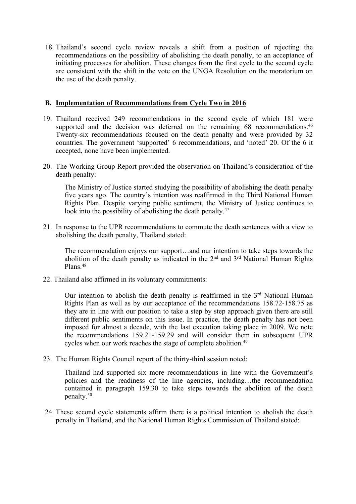18. Thailand'<sup>s</sup> second cycle review reveals <sup>a</sup> shift from <sup>a</sup> position of rejecting the recommendations on the possibility of abolishing the death penalty, to an acceptance of initiating processes for abolition. These changes from the first cycle to the second cycle are consistent with the shift in the vote on the UNGA Resolution on the moratorium on the use of the death penalty.

## **B. Implementation of Recommendations from Cycle Two in 2016**

- 19. Thailand received 249 recommendations in the second cycle of which 181 were supported and the decision was deferred on the remaining 68 recommendations.<sup>46</sup> Twenty-six recommendations focused on the death penalty and were provided by 32 countries. The governmen<sup>t</sup> 'supported' 6 recommendations, and 'noted' 20. Of the 6 it accepted, none have been implemented.
- 20. The Working Group Report provided the observation on Thailand'<sup>s</sup> consideration of the death penalty:

The Ministry of Justice started studying the possibility of abolishing the death penalty five years ago. The country'<sup>s</sup> intention was reaffirmed in the Third National Human Rights Plan. Despite varying public sentiment, the Ministry of Justice continues to look into the possibility of abolishing the death penalty.<sup>47</sup>

21. In response to the UPR recommendations to commute the death sentences with <sup>a</sup> view to abolishing the death penalty, Thailand stated:

The recommendation enjoys our support…and our intention to take steps towards the abolition of the death penalty as indicated in the 2<sup>nd</sup> and 3<sup>rd</sup> National Human Rights Plans. 48

22. Thailand also affirmed in its voluntary commitments:

Our intention to abolish the death penalty is reaffirmed in the 3<sup>rd</sup> National Human Rights Plan as well as by our acceptance of the recommendations 158.72-158.75 as they are in line with our position to take <sup>a</sup> step by step approach given there are still different public sentiments on this issue. In practice, the death penalty has not been imposed for almost <sup>a</sup> decade, with the last execution taking place in 2009. We note the recommendations 159.21-159.29 and will consider them in subsequent UPR cycles when our work reaches the stage of complete abolition.<sup>49</sup>

23. The Human Rights Council repor<sup>t</sup> of the thirty-third session noted:

Thailand had supported six more recommendations in line with the Government'<sup>s</sup> policies and the readiness of the line agencies, including…the recommendation contained in paragraph 159.30 to take steps towards the abolition of the death penalty. 50

24. These second cycle statements affirm there is <sup>a</sup> political intention to abolish the death penalty in Thailand, and the National Human Rights Commission of Thailand stated: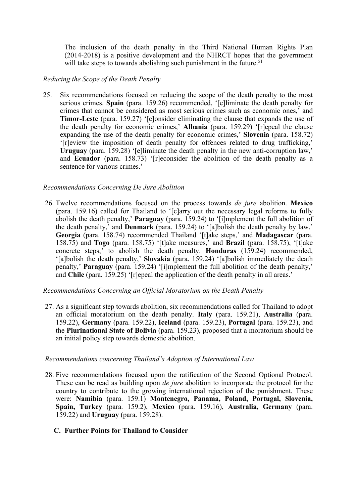The inclusion of the death penalty in the Third National Human Rights Plan (2014-2018) is <sup>a</sup> positive development and the NHRCT hopes that the governmen<sup>t</sup> will take steps to towards abolishing such punishment in the future.<sup>51</sup>

## *Reducing the Scope of the Death Penalty*

25. Six recommendations focused on reducing the scope of the death penalty to the most serious crimes. **Spain** (para. 159.26) recommended, '[e]liminate the death penalty for crimes that cannot be considered as most serious crimes such as economic ones,' and **Timor-Leste** (para. 159.27) '[c]onsider eliminating the clause that expands the use of the death penalty for economic crimes,' **Albania** (para. 159.29) '[r]epeal the clause expanding the use of the death penalty for economic crimes,' **Slovenia** (para. 158.72) '[r]eview the imposition of death penalty for offences related to drug trafficking,' **Uruguay** (para. 159.28) '[e]liminate the death penalty in the new anti-corruption law,' and **Ecuador** (para. 158.73) '[r]econsider the abolition of the death penalty as a sentence for various crimes.'

## *Recommendations Concerning De Jure Abolition*

26. Twelve recommendations focused on the process towards *de jure* abolition. **Mexico** (para. 159.16) called for Thailand to '[c]arry out the necessary legal reforms to fully abolish the death penalty,' **Paraguay** (para. 159.24) to '[i]mplement the full abolition of the death penalty,' and **Denmark** (para. 159.24) to '[a]bolish the death penalty by law.' **Georgia** (para. 158.74) recommended Thailand '[t]ake steps,' and **Madagascar** (para. 158.75) and **Togo** (para. 158.75) '[t]ake measures,' and **Brazil** (para. 158.75), '[t]ake concrete steps,' to abolish the death penalty. **Honduras** (159.24) recommended, '[a]bolish the death penalty,' **Slovakia** (para. 159.24) '[a]bolish immediately the death penalty,' **Paraguay** (para. 159.24) '[i]mplement the full abolition of the death penalty,' and **Chile** (para. 159.25) '[r]epeal the application of the death penalty in all areas.'

### *Recommendations Concerning an Official Moratorium on the Death Penalty*

27. As <sup>a</sup> significant step towards abolition, six recommendations called for Thailand to adopt an official moratorium on the death penalty. **Italy** (para. 159.21), **Australia** (para. 159.22), **Germany** (para. 159.22), **Iceland** (para. 159.23), **Portugal** (para. 159.23), and the **Plurinational State of Bolivia** (para. 159.23), proposed that <sup>a</sup> moratorium should be an initial policy step towards domestic abolition.

### *Recommendations concerning Thailand'<sup>s</sup> Adoption of International Law*

28. Five recommendations focused upon the ratification of the Second Optional Protocol. These can be read as building upon *de jure* abolition to incorporate the protocol for the country to contribute to the growing international rejection of the punishment. These were: **Namibia** (para. 159.1) **Montenegro, Panama, Poland, Portugal, Slovenia, Spain, Turkey** (para. 159.2), **Mexico** (para. 159.16), **Australia, Germany** (para. 159.22) and **Uruguay** (para. 159.28).

# **C. Further Points for Thailand to Consider**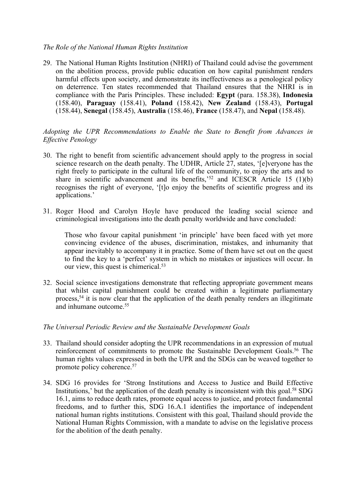## *The Role of the National Human Rights Institution*

29. The National Human Rights Institution (NHRI) of Thailand could advise the governmen<sup>t</sup> on the abolition process, provide public education on how capital punishment renders harmful effects upon society, and demonstrate its ineffectiveness as <sup>a</sup> penological policy on deterrence. Ten states recommended that Thailand ensures that the NHRI is in compliance with the Paris Principles. These included: **Egypt** (para. 158.38), **Indonesia** (158.40), **Paraguay** (158.41), **Poland** (158.42), **New Zealand** (158.43), **Portugal** (158.44), **Senegal** (158.45), **Australia** (158.46), **France** (158.47), and **Nepal** (158.48).

# *Adopting the UPR Recommendations to Enable the State to Benefit from Advances in Effective Penology*

- 30. The right to benefit from scientific advancement should apply to the progress in social science research on the death penalty. The UDHR, Article 27, states, '[e]veryone has the right freely to participate in the cultural life of the community, to enjoy the arts and to share in scientific advancement and its benefits,  $52$  and ICESCR Article 15 (1)(b) recognises the right of everyone. 'It lo enjoy the benefits of scientific progress and its applications.'
- 31. Roger Hood and Carolyn Hoyle have produced the leading social science and criminological investigations into the death penalty worldwide and have concluded:

Those who favour capital punishment 'in principle' have been faced with ye<sup>t</sup> more convincing evidence of the abuses, discrimination, mistakes, and inhumanity that appear inevitably to accompany it in practice. Some of them have set out on the ques<sup>t</sup> to find the key to <sup>a</sup> 'perfect' system in which no mistakes or injustices will occur. In our view, this ques<sup>t</sup> is chimerical. 53

32. Social science investigations demonstrate that reflecting appropriate governmen<sup>t</sup> means that whilst capital punishment could be created within <sup>a</sup> legitimate parliamentary process, 54 it is now clear that the application of the death penalty renders an illegitimate and inhumane outcome. 55

# *The Universal Periodic Review and the Sustainable Development Goals*

- 33. Thailand should consider adopting the UPR recommendations in an expression of mutual reinforcement of commitments to promote the Sustainable Development Goals. 56 The human rights values expressed in both the UPR and the SDGs can be weaved together to promote policy coherence. 57
- 34. SDG 16 provides for 'Strong Institutions and Access to Justice and Build Effective Institutions,' but the application of the death penalty is inconsistent with this goal.<sup>58</sup> SDG 16.1, aims to reduce death rates, promote equal access to justice, and protect fundamental freedoms, and to further this, SDG 16.A.1 identifies the importance of independent national human rights institutions. Consistent with this goal, Thailand should provide the National Human Rights Commission, with <sup>a</sup> mandate to advise on the legislative process for the abolition of the death penalty.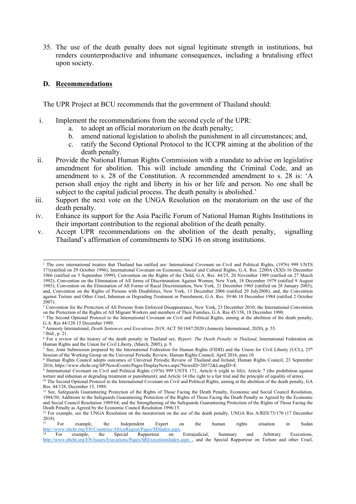35. The use of the death penalty does not signal legitimate strength in institutions, but renders counterproductive and inhumane consequences, including <sup>a</sup> brutalising effect upon society.

### **D. Recommendations**

The UPR Project at BCU recommends that the governmen<sup>t</sup> of Thailand should:

- i. Implement the recommendations from the second cycle of the UPR:
	- a. to adopt an official moratorium on the death penalty;
	- b. amend national legislation to abolish the punishment in all circumstances; and,
	- c. ratify the Second Optional Protocol to the ICCPR aiming at the abolition of the death penalty.
- ii. Provide the National Human Rights Commission with <sup>a</sup> mandate to advise on legislative amendment for abolition. This will include amending the Criminal Code, and an amendment to s. 28 of the Constitution. A recommended amendment to s. 28 is: 'A person shall enjoy the right and liberty in his or her life and person. No one shall be subject to the capital judicial process. The death penalty is abolished.'
- iii. Support the next vote on the UNGA Resolution on the moratorium on the use of the death penalty.
- iv. Enhance its suppor<sup>t</sup> for the Asia Pacific Forum of National Human Rights Institutions in their important contribution to the regional abolition of the death penalty.
- v. Accept UPR recommendations on the abolition of the death penalty, signalling Thailand'<sup>s</sup> affirmation of commitments to SDG 16 on strong institutions.

<sup>&</sup>lt;sup>1</sup> The core international treaties that Thailand has ratified are: International Covenant on Civil and Political Rights, (1976) 999 UNTS 171(ratified on 29 October 1996); International Covenant on Economic, Social and Cultural Rights, G.A. Res. 2200A (XXI) 16 December 1966 (ratified on 5 September 1999); Convention on the Rights of the Child, G.A. Res. 44/25, 20 November 1989 (ratified on 27 March 1992); Convention on the Elimination of All forms of Discrimination Against Women, New York, 18 December 1979 (ratified 9 August 1985); Convention on the Elimination of All Forms of Racal Discrimination, New York, 21 December 1965 (ratified on 28 January 2003); and, Convention on the Rights of Persons with Disabilities, New York, 13 December 2006 (ratified 29 July2008); and, the Convention against Torture and Other Cruel, Inhuman or Degrading Treatment or Punishment, G.A. Res. 39/46 10 December 1984 (ratified 2 October 2007).

<sup>&</sup>lt;sup>2</sup> Convention for the Protection of All Persons from Enforced Disappearance, New York, 23 December 2010; the International Convention on the Protection of the Rights of All Migrant Workers and members of Their Families, G.A. Res 45/158, 18 December 1990.

<sup>&</sup>lt;sup>3</sup> The Second Optional Protocol to the International Covenant on Civil and Political Rights, aiming at the abolition of the death penalty, G.A. Res 44/128 15 December 1989.

<sup>4</sup> Amnesty International, *Death Sentences and Executions 2019*, ACT 50/1847/2020 (Amnesty International, 2020), p. 55.

<sup>5</sup> Ibid., p. 21. 6 For <sup>a</sup> review of the history of the death penalty in Thailand see, *Report: The Death Penalty in Thailand*, International Federation on Human Rights and the Union for Civil Liberty, (March, 2005), p. 9.

<sup>&</sup>lt;sup>7</sup> See, Joint Submission prepared by the International Federation for Human Rights (FIDH) and the Union for Civil Liberty (UCL), 25<sup>th</sup> Session of the Working Group on the Universal Periodic Review, Human Rights Council, April 2016, para 10.

<sup>&</sup>lt;sup>8</sup> Human Rights Council adopts outcomes of Universal Periodic Review of Thailand and Ireland, Human Rights Council, 23 September 2016, https://www.ohchr.org/SP/NewsEvents/Pages/DisplayNews.aspx?NewsID=20572&LangID=E

<sup>9</sup> International Covenant on Civil and Political Rights (1976) 999 UNTS 171, Article 6 (right to life); Article 7 (the prohibition against torture and inhuman or degrading treatment or punishment); and Article 14 (the right to <sup>a</sup> fair trial and the principle of equality of arms).

<sup>&</sup>lt;sup>10</sup> The Second Optional Protocol to the International Covenant on Civil and Political Rights, aiming at the abolition of the death penalty, GA Res. 44/128, December 15, 1989.

<sup>&</sup>lt;sup>11</sup> See, Safeguards Guaranteeing Protection of the Rights of Those Facing the Death Penalty, Economic and Social Council Resolution, 1984/50; Additions to the Safeguards Guaranteeing Protection of the Rights of Those Facing the Death Penalty as Agreed by the Economic and Social Council Resolution 1989/64; and the Strengthening of the Safeguards Guaranteeing Protection of the Rights of Those Facing the Death Penalty as Agreed by the Economic Council Resolution 1996/15.

<sup>&</sup>lt;sup>12</sup> For example, see the UNGA Resolution on the moratorium on the use of the death penalty, UNGA Res A/RES/73/170 (17 December 2018).

<sup>13</sup> For example, the Independent Expert on the human rights situation in Sudan <http://www.ohchr.org/EN/Countries/AfricaRegion/Pages/SDIndex.aspx>.

<sup>14</sup> For example, the Special Rapporteur on Extrajudicial, Summary and Arbitrary Executions, <http://www.ohchr.org/EN/Issues/Executions/Pages/SRExecutionsIndex.aspx> , and the Special Rapporteur on Torture and other Cruel,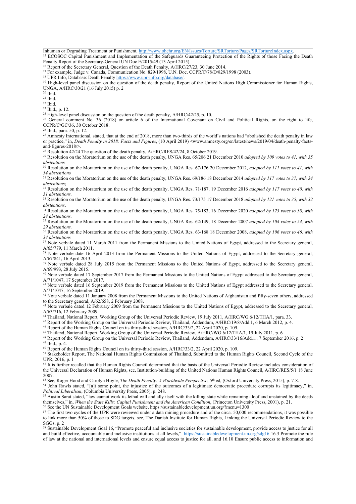Inhuman or Degrading Treatment or Punishment, <http://www.ohchr.org/EN/Issues/Torture/SRTorture/Pages/SRTortureIndex.aspx>.

<sup>15</sup> ECOSOC Capital Punishment and Implementation of the Safeguards Guaranteeing Protection of the Rights of those Facing the Death Penalty Report of the Secretary-General UN Doc E/2015/49 (13 April 2015).

<sup>17</sup> For example, Judge v. Canada, Communication No. 829/1998, U.N. Doc. CCPR/C/78/D/829/1998 (2003).

<sup>18</sup> UPR Info, Database: Death Penalty <https://www.upr-info.org/database/>

<sup>19</sup> High-level panel discussion on the question of the death penalty, Report of the United Nations High Commissioner for Human Rights, UNGA, A/HRC/30/21 (16 July 2015) p. 2

20 Ibid.

21 Ibid.

22 Ibid.

23 Ibid., p. 12.

<sup>24</sup> High-level panel discussion on the question of the death penalty, A/HRC/42/25, p. 10.

<sup>25</sup> General comment No. 36 (2018) on article 6 of the International Covenant on Civil and Political Rights, on the right to life, CCPR/C/GC/36, 30 October 2018.<br><sup>26</sup> Ibid., para. 50, p. 12.

<sup>27</sup> Amnesty International, stated, that at the end of 2018, more than two-thirds of the world's nations had "abolished the death penalty in law or practice," in, *Death Penalty in 2018: Facts and Figures*, (10 April 2019) <www.amnesty.org/en/latest/news/2019/04/death-penalty-factsand-figures-2018/>.

<sup>28</sup> Resolution 42/24 The question of the death penalty, A/HRC/RES/42/24, 8 October 2019.

<sup>29</sup> Resolution on the Moratorium on the use of the death penalty, UNGA Res. 65/206 <sup>21</sup> December 2010 *adopted by 109 votes to 41, with 35 abstentions*

<sup>30</sup> Resolution on the Moratorium on the use of the death penalty, UNGA Res. 67/176 20 December 2012, *adopted by <sup>111</sup> votes to 41, with 34 abstention*<sup>s</sup>

<sup>31</sup> Resolution on the Moratorium on the use of the death penalty, UNGA Res. 69/186 18 December 2014 *adopted by 117 votes to 37, with 34 abstentions*;

<sup>32</sup> Resolution on the Moratorium on the use of the death penalty, UNGA Res. 71/187, 19 December 2016 *adopted by 117 votes to 40, with 31 abstentions.*

<sup>33</sup> Resolution on the Moratorium on the use of the death penalty, UNGA Res. 73/175 17 December 2018 *adopted by <sup>121</sup> votes to 35, with 32 abstentions*.

<sup>34</sup> Resolution on the Moratorium on the use of the death penalty, UNGA Res. 75/183, 16 December 2020 *adopted by 123 votes to 38, with 24 abstentions.*

<sup>35</sup> Resolution on the Moratorium on the use of the death penalty, UNGA Res. 62/149, 18 December 2007 *adopted by 104 votes to 54, with 29 abstentions.*

<sup>36</sup> Resolution on the Moratorium on the use of the death penalty, UNGA Res. 63/168 18 December 2008, *adopted by 106 votes to 46, with 34 abstentions*

<sup>37</sup> Note verbale dated 11 March 2011 from the Permanent Missions to the United Nations of Egypt, addressed to the Secretary general, A/65/779, 11 March 2011.

<sup>38</sup> Note verbale date 16 April 2013 from the Permanent Missions to the United Nations of Egypt, addressed to the Secretary general, A/67/841, 16 April 2013.

<sup>39</sup> Note verbale dated 28 July 2015 from the Permanent Missions to the United Nations of Egypt, addressed to the Secretary general, A/69/993, 28 July 2015.

<sup>40</sup> Note verbale dated 17 September 2017 from the Permanent Missions to the United Nations of Egypt addressed to the Secretary general, A/71/1047, 17 September 2017.

<sup>41</sup> Note verbale dated 16 September 2019 from the Permanent Missions to the United Nations of Egypt addressed to the Secretary general, A/71/1047, 16 September 2019.

<sup>42</sup> Note verbale dated 11 January 2008 from the Permanent Missions to the United Nations of Afghanistan and fifty-seven others, addressed to the Secretary general, A/62/658, 2 February 2008.

<sup>43</sup> Note verbale dated 12 February 2009 from the Permanent Missions to the United Nations of Egypt, addressed to the Secretary general, A/63/716, 12 February 2009.

44 Thailand, National Report, Working Group of the Universal Periodic Review, 19 July 2011, A/HRC/WG.6/12/THA/1, para. 33.

<sup>45</sup> Report of the Working Group on the Universal Periodic Review, Thailand, Addendum, A/HRC/19/8/Add.1, 6 March 2012, p. 4.

<sup>46</sup> Report of the Human Rights Council on its thirty-third session, A/HRC/33/2, <sup>22</sup> April 2020, p. 109.

47 Thailand, National Report, Working Group of the Universal Periodic Review, A/HRC/WG.6/12/THA/1, 19 July 2011, p. 6

<sup>48</sup> Report of the Working Group on the Universal Periodic Review, Thailand, Addendum, A/HRC/33/16/Add.1., <sup>7</sup> September 2016, p. <sup>2</sup> 49 Ibid., p. 4.

<sup>50</sup> Report of the Human Rights Council on its thirty-third session, A/HRC/33/2, <sup>22</sup> April 2020, p. 109.

<sup>51</sup> Stakeholder Report, The National Human Rights Commission of Thailand, Submitted to the Human Rights Council, Second Cycle of the UPR, 2016, p. 1

 $52$  It is further recalled that the Human Rights Council determined that the basis of the Universal Periodic Review includes consideration of the Universal Declaration of Human Rights, see, Institution-building of the United Nations Human Rights Council, A/HRC/RES/5/1 18 June 2007.

53 See, Roger Hood and Carolyn Hoyle, *The Death Penalty: <sup>A</sup> Worldwide Perspective*, <sup>5</sup>th ed, (Oxford University Press, 2015), p. 7-8.

<sup>54</sup> John Rawls stated, "[a]t some point, the injustice of the outcomes of a legitimate democratic procedure corrupts its legitimacy," in,

*Political Liberalism*, (Columbia University Press, 2005), p. 248.

<sup>55</sup> Austin Sarat stated, "law cannot work its lethal will and ally itself with the killing state while remaining aloof and unstained by the deeds themselves," in, *When the State Kills: Capital Punishment and the American Condition*, (Princeton University Press, 2001), p. 21.

56 See the UN Sustainable Development Goals website, https://sustainabledevelopment.un.org/?menu=1300  $57$  The first two cycles of the UPR were reviewed under a data mining procedure and of the circa. 50,000 recommendations, it was possible to link more than 50% of those to SDG targets, see, The Danish Institute for Human Rights, Linking the Universal Periodic Review to the

SGGs, p. 2 <sup>58</sup> Sustainable Development Goal 16, "Promote peaceful and inclusive societies for sustainable development, provide access to justice for all and build effective, accountable and inclusive institutions at all levels," <https://sustainabledevelopment.un.org/sdg16> 16.3 Promote the rule of law at the national and international levels and ensure equal access to justice for all, and 16.10 Ensure public access to information and

<sup>&</sup>lt;sup>16</sup> Report of the Secretary General, Question of the Death Penalty, A/HRC/27/23, 30 June 2014.